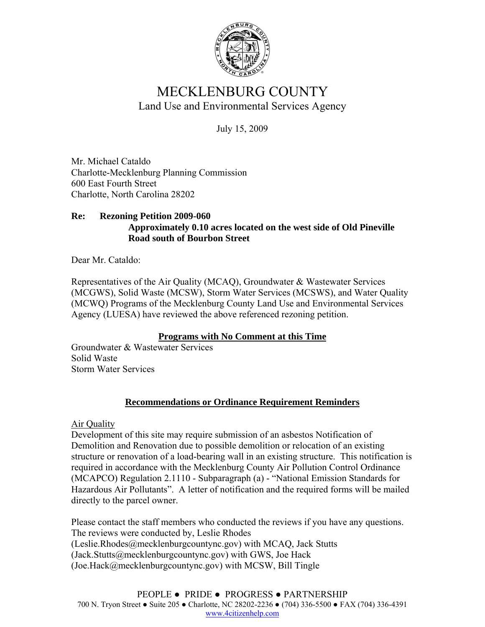

## MECKLENBURG COUNTY Land Use and Environmental Services Agency

July 15, 2009

Mr. Michael Cataldo Charlotte-Mecklenburg Planning Commission 600 East Fourth Street Charlotte, North Carolina 28202

## **Re: Rezoning Petition 2009-060 Approximately 0.10 acres located on the west side of Old Pineville Road south of Bourbon Street**

Dear Mr. Cataldo:

Representatives of the Air Quality (MCAQ), Groundwater & Wastewater Services (MCGWS), Solid Waste (MCSW), Storm Water Services (MCSWS), and Water Quality (MCWQ) Programs of the Mecklenburg County Land Use and Environmental Services Agency (LUESA) have reviewed the above referenced rezoning petition.

## **Programs with No Comment at this Time**

Groundwater & Wastewater Services Solid Waste Storm Water Services

## **Recommendations or Ordinance Requirement Reminders**

Air Quality

Development of this site may require submission of an asbestos Notification of Demolition and Renovation due to possible demolition or relocation of an existing structure or renovation of a load-bearing wall in an existing structure. This notification is required in accordance with the Mecklenburg County Air Pollution Control Ordinance (MCAPCO) Regulation 2.1110 - Subparagraph (a) - "National Emission Standards for Hazardous Air Pollutants". A letter of notification and the required forms will be mailed directly to the parcel owner.

Please contact the staff members who conducted the reviews if you have any questions. The reviews were conducted by, Leslie Rhodes (Leslie.Rhodes@mecklenburgcountync.gov) with MCAQ, Jack Stutts (Jack.Stutts@mecklenburgcountync.gov) with GWS, Joe Hack (Joe.Hack@mecklenburgcountync.gov) with MCSW, Bill Tingle